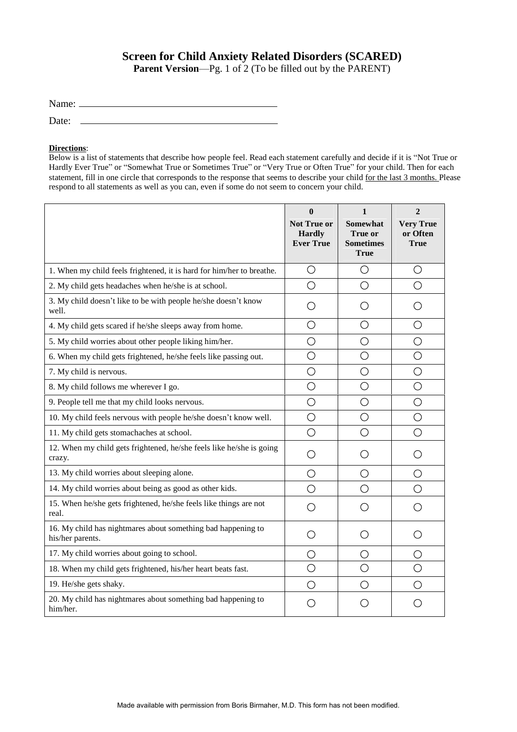## **Screen for Child Anxiety Related Disorders (SCARED)**

**Parent Version—Pg.** 1 of 2 (To be filled out by the PARENT)

|       | Name: $\frac{1}{\sqrt{1-\frac{1}{2}}\sqrt{1-\frac{1}{2}}\sqrt{1-\frac{1}{2}}\sqrt{1-\frac{1}{2}}\sqrt{1-\frac{1}{2}}\sqrt{1-\frac{1}{2}}\sqrt{1-\frac{1}{2}}\sqrt{1-\frac{1}{2}}\sqrt{1-\frac{1}{2}}\sqrt{1-\frac{1}{2}}\sqrt{1-\frac{1}{2}}\sqrt{1-\frac{1}{2}}\sqrt{1-\frac{1}{2}}\sqrt{1-\frac{1}{2}}\sqrt{1-\frac{1}{2}}\sqrt{1-\frac{1}{2}}\sqrt{1-\frac{1}{2}}\sqrt{1-\frac{1}{2}}\sqrt{1-\frac{1}{2}}$ |  |
|-------|---------------------------------------------------------------------------------------------------------------------------------------------------------------------------------------------------------------------------------------------------------------------------------------------------------------------------------------------------------------------------------------------------------------|--|
| Date: |                                                                                                                                                                                                                                                                                                                                                                                                               |  |

## **Directions**:

Below is a list of statements that describe how people feel. Read each statement carefully and decide if it is "Not True or Hardly Ever True" or "Somewhat True or Sometimes True" or "Very True or Often True" for your child. Then for each statement, fill in one circle that corresponds to the response that seems to describe your child for the last 3 months. Please respond to all statements as well as you can, even if some do not seem to concern your child.

|                                                                                  | $\mathbf{0}$<br><b>Not True or</b><br><b>Hardly</b><br><b>Ever True</b> | 1<br><b>Somewhat</b><br>True or<br><b>Sometimes</b><br><b>True</b> | $\overline{2}$<br><b>Very True</b><br>or Often<br><b>True</b> |
|----------------------------------------------------------------------------------|-------------------------------------------------------------------------|--------------------------------------------------------------------|---------------------------------------------------------------|
| 1. When my child feels frightened, it is hard for him/her to breathe.            | $\bigcirc$                                                              | $\bigcirc$                                                         | О                                                             |
| 2. My child gets headaches when he/she is at school.                             | O                                                                       | $\bigcirc$                                                         | O                                                             |
| 3. My child doesn't like to be with people he/she doesn't know<br>well.          | ( )                                                                     | ( )                                                                | ( )                                                           |
| 4. My child gets scared if he/she sleeps away from home.                         | О                                                                       | $\bigcirc$                                                         | O                                                             |
| 5. My child worries about other people liking him/her.                           | O                                                                       | O                                                                  | O                                                             |
| 6. When my child gets frightened, he/she feels like passing out.                 | O                                                                       | $\bigcirc$                                                         | $\bigcirc$                                                    |
| 7. My child is nervous.                                                          | $\bigcirc$                                                              | $\bigcirc$                                                         | О                                                             |
| 8. My child follows me wherever I go.                                            | $\bigcirc$                                                              | $\bigcirc$                                                         | О                                                             |
| 9. People tell me that my child looks nervous.                                   | $\bigcirc$                                                              | $\bigcirc$                                                         | O                                                             |
| 10. My child feels nervous with people he/she doesn't know well.                 | $\bigcirc$                                                              | $\bigcirc$                                                         | $\bigcirc$                                                    |
| 11. My child gets stomachaches at school.                                        | $\bigcirc$                                                              | $\bigcirc$                                                         | $\bigcirc$                                                    |
| 12. When my child gets frightened, he/she feels like he/she is going<br>crazy.   | O                                                                       | $\left( \begin{array}{c} 1 \end{array} \right)$                    | ( )                                                           |
| 13. My child worries about sleeping alone.                                       | О                                                                       | O                                                                  | $\bigcirc$                                                    |
| 14. My child worries about being as good as other kids.                          | ◯                                                                       | $\bigcirc$                                                         | ◯                                                             |
| 15. When he/she gets frightened, he/she feels like things are not<br>real.       | ◯                                                                       | ∩                                                                  | ◯                                                             |
| 16. My child has nightmares about something bad happening to<br>his/her parents. | О                                                                       | $\bigcirc$                                                         | О                                                             |
| 17. My child worries about going to school.                                      | O                                                                       | O                                                                  | $\left(\begin{array}{c} \end{array}\right)$                   |
| 18. When my child gets frightened, his/her heart beats fast.                     | O                                                                       | $\bigcirc$                                                         | O                                                             |
| 19. He/she gets shaky.                                                           | O                                                                       | ◯                                                                  | O                                                             |
| 20. My child has nightmares about something bad happening to<br>him/her.         | ()                                                                      | ()                                                                 | ( )                                                           |